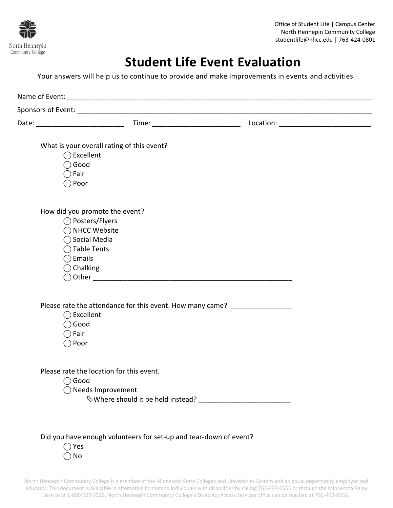

Office of Student Life | Campus Center North Hennepin Community College studentlife@nhcc.edu | 763-424-0801

## **Student Life Event Evaluation**

Your answers will help us to continue to provide and make improvements in events and activities.

|                                                       | Date: _______________________________                                                                   |  |
|-------------------------------------------------------|---------------------------------------------------------------------------------------------------------|--|
| $\bigcirc$ Good<br>$\bigcirc$ Fair<br>$\bigcirc$ Poor | What is your overall rating of this event?<br>$\bigcirc$ Excellent                                      |  |
| $\bigcap$ Emails<br>$\bigcirc$ Chalking               | How did you promote the event?<br>◯ Posters/Flyers<br>◯ NHCC Website<br>◯ Social Media<br>◯ Table Tents |  |
| $\bigcirc$ Good<br>$\bigcirc$ Fair<br>$\bigcirc$ Poor | Please rate the attendance for this event. How many came? _________________<br>$\bigcirc$ Excellent     |  |
| Good                                                  | Please rate the location for this event.<br>$\bigcirc$ Needs Improvement                                |  |
| $\bigcirc$ Yes<br>No                                  | Did you have enough volunteers for set-up and tear-down of event?                                       |  |

North Hennepin Community College is a member of the Minnesota State Colleges and Universities System and an equal opportunity employer and educator. This document is available in alternative formats to individuals with disabilities by calling 763-493-0555 or through the Minnesota Relay Service at 1-800-627-3529. North Hennepin Community College's Disability Access Services office can be reached at 763-493-0555.